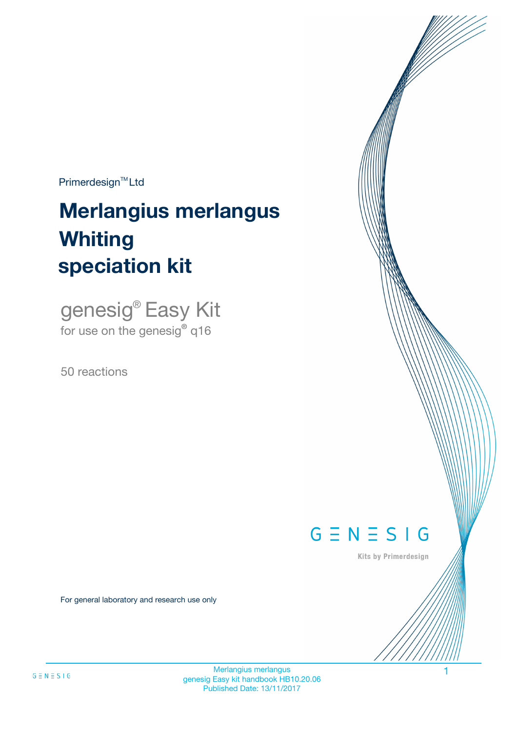$Primerdesign^{\text{TM}}Ltd$ 

# **Merlangius merlangus speciation kit Whiting**

genesig® Easy Kit for use on the genesig**®** q16

50 reactions



Kits by Primerdesign

For general laboratory and research use only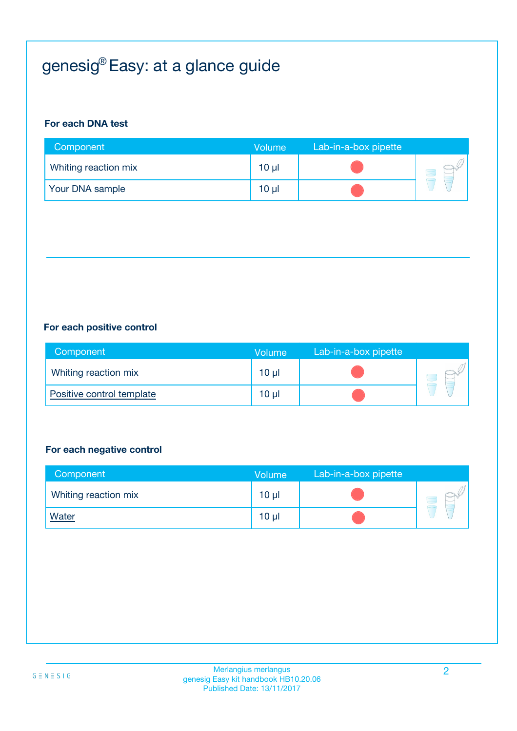# genesig® Easy: at a glance guide

#### **For each DNA test**

| Component            | <b>Volume</b>   | Lab-in-a-box pipette |  |
|----------------------|-----------------|----------------------|--|
| Whiting reaction mix | $10 \mu$        |                      |  |
| Your DNA sample      | 10 <sub>µ</sub> |                      |  |

#### **For each positive control**

| Component                 | <b>Volume</b> | Lab-in-a-box pipette |  |
|---------------------------|---------------|----------------------|--|
| Whiting reaction mix      | 10 µl         |                      |  |
| Positive control template | 10 µl         |                      |  |

#### **For each negative control**

| Component            | <b>Volume</b> | Lab-in-a-box pipette |  |
|----------------------|---------------|----------------------|--|
| Whiting reaction mix | $10 \mu$      |                      |  |
| <b>Water</b>         | $10 \mu$      |                      |  |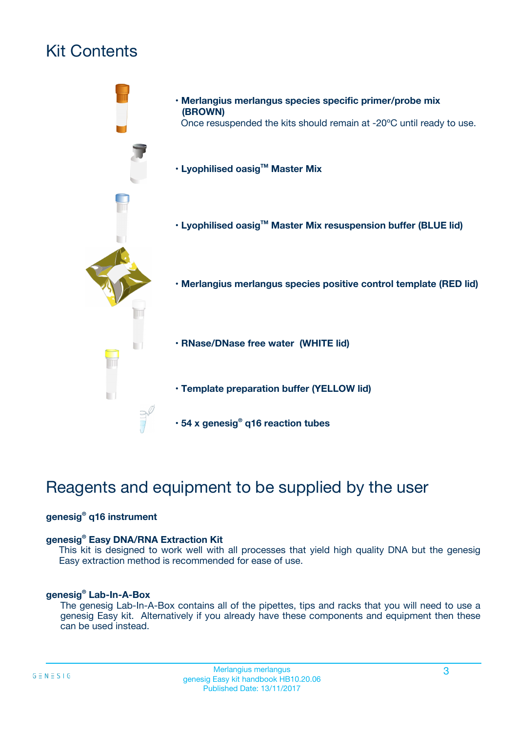# Kit Contents



# Reagents and equipment to be supplied by the user

#### **genesig® q16 instrument**

#### **genesig® Easy DNA/RNA Extraction Kit**

This kit is designed to work well with all processes that yield high quality DNA but the genesig Easy extraction method is recommended for ease of use.

#### **genesig® Lab-In-A-Box**

The genesig Lab-In-A-Box contains all of the pipettes, tips and racks that you will need to use a genesig Easy kit. Alternatively if you already have these components and equipment then these can be used instead.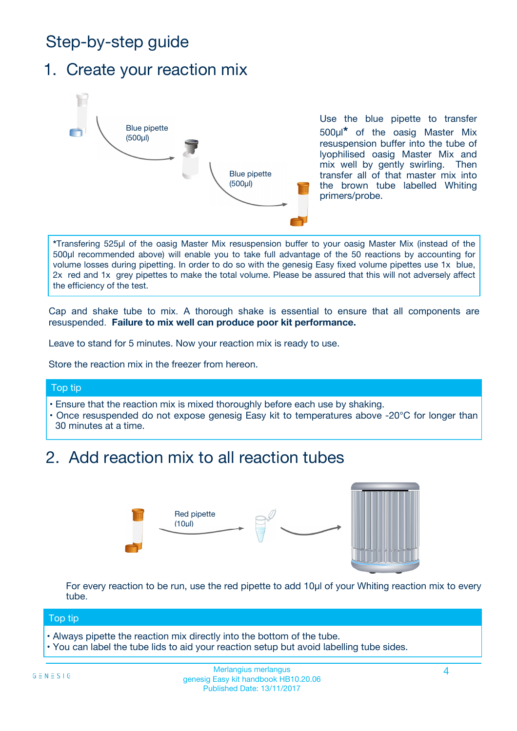# Step-by-step guide

### 1. Create your reaction mix



Use the blue pipette to transfer 500µl**\*** of the oasig Master Mix resuspension buffer into the tube of lyophilised oasig Master Mix and mix well by gently swirling. Then transfer all of that master mix into the brown tube labelled Whiting primers/probe.

**\***Transfering 525µl of the oasig Master Mix resuspension buffer to your oasig Master Mix (instead of the 500µl recommended above) will enable you to take full advantage of the 50 reactions by accounting for volume losses during pipetting. In order to do so with the genesig Easy fixed volume pipettes use 1x blue, 2x red and 1x grey pipettes to make the total volume. Please be assured that this will not adversely affect the efficiency of the test.

Cap and shake tube to mix. A thorough shake is essential to ensure that all components are resuspended. **Failure to mix well can produce poor kit performance.**

Leave to stand for 5 minutes. Now your reaction mix is ready to use.

Store the reaction mix in the freezer from hereon.

#### Top tip

- Ensure that the reaction mix is mixed thoroughly before each use by shaking.
- **•** Once resuspended do not expose genesig Easy kit to temperatures above -20°C for longer than 30 minutes at a time.

### 2. Add reaction mix to all reaction tubes



For every reaction to be run, use the red pipette to add 10µl of your Whiting reaction mix to every tube.

#### Top tip

- Always pipette the reaction mix directly into the bottom of the tube.
- You can label the tube lids to aid your reaction setup but avoid labelling tube sides.

#### Merlangius merlangus 4 genesig Easy kit handbook HB10.20.06 Published Date: 13/11/2017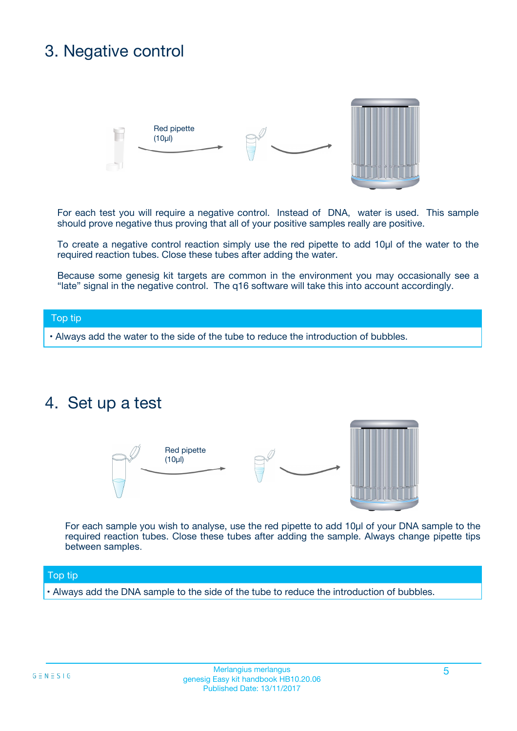### 3. Negative control



For each test you will require a negative control. Instead of DNA, water is used. This sample should prove negative thus proving that all of your positive samples really are positive.

To create a negative control reaction simply use the red pipette to add 10µl of the water to the required reaction tubes. Close these tubes after adding the water.

Because some genesig kit targets are common in the environment you may occasionally see a "late" signal in the negative control. The q16 software will take this into account accordingly.

#### Top tip

**•** Always add the water to the side of the tube to reduce the introduction of bubbles.

### 4. Set up a test



For each sample you wish to analyse, use the red pipette to add 10µl of your DNA sample to the required reaction tubes. Close these tubes after adding the sample. Always change pipette tips between samples.

#### Top tip

**•** Always add the DNA sample to the side of the tube to reduce the introduction of bubbles.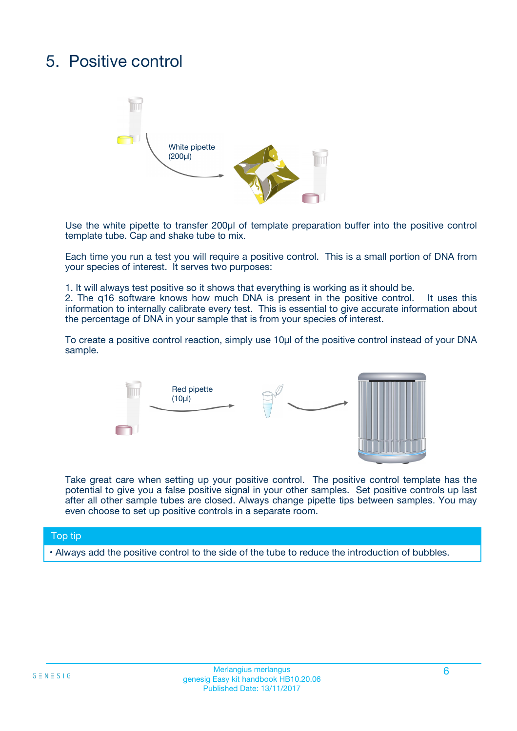# 5. Positive control



Use the white pipette to transfer 200µl of template preparation buffer into the positive control template tube. Cap and shake tube to mix.

Each time you run a test you will require a positive control. This is a small portion of DNA from your species of interest. It serves two purposes:

1. It will always test positive so it shows that everything is working as it should be.

2. The q16 software knows how much DNA is present in the positive control. It uses this information to internally calibrate every test. This is essential to give accurate information about the percentage of DNA in your sample that is from your species of interest.

To create a positive control reaction, simply use 10µl of the positive control instead of your DNA sample.



Take great care when setting up your positive control. The positive control template has the potential to give you a false positive signal in your other samples. Set positive controls up last after all other sample tubes are closed. Always change pipette tips between samples. You may even choose to set up positive controls in a separate room.

#### Top tip

**•** Always add the positive control to the side of the tube to reduce the introduction of bubbles.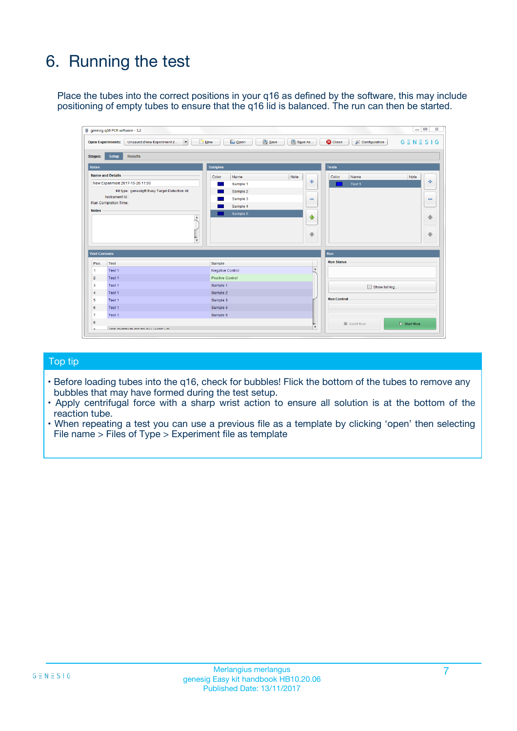# 6. Running the test

Place the tubes into the correct positions in your q16 as defined by the software, this may include positioning of empty tubes to ensure that the q16 lid is balanced. The run can then be started.

|                                    | genesig q16 PCR software - 1.2                                                    |                                     |                              |                                   | $\Box$<br>$\Sigma$           |
|------------------------------------|-----------------------------------------------------------------------------------|-------------------------------------|------------------------------|-----------------------------------|------------------------------|
|                                    | <b>Open Experiments:</b><br>Unsaved (New Experiment 2<br>$\overline{\phantom{a}}$ | <b>E</b> Open<br>Save<br>$\Box$ New | Save As                      | <b>C</b> Close<br>& Configuration | $G \equiv N \equiv S \mid G$ |
| Stages:                            | Setup<br><b>Results</b>                                                           |                                     |                              |                                   |                              |
| <b>Notes</b>                       |                                                                                   | <b>Samples</b>                      |                              | <b>Tests</b>                      |                              |
|                                    | <b>Name and Details</b>                                                           | Color<br>Name                       | Note                         | Color<br>Name                     | Note                         |
|                                    | New Experiment 2017-10-26 11:06                                                   | Sample 1                            | 유                            | Test <sub>1</sub>                 | ÷                            |
|                                    | Kit type: genesig® Easy Target Detection kit                                      | Sample 2                            |                              |                                   |                              |
|                                    | Instrument Id.:                                                                   | Sample 3                            | $\qquad \qquad \blacksquare$ |                                   | $\qquad \qquad \blacksquare$ |
|                                    | <b>Run Completion Time:</b>                                                       | Sample 4                            |                              |                                   |                              |
| <b>Notes</b>                       | $\blacktriangle$                                                                  | Sample 5                            | ♠<br>÷                       |                                   | 41<br>€                      |
| <b>Well Contents</b>               | $\overline{\mathbf{v}}$                                                           |                                     |                              | <b>Run</b>                        |                              |
| Pos.                               | <b>Test</b>                                                                       | Sample                              |                              | <b>Run Status</b>                 |                              |
| 1                                  | Test 1                                                                            | <b>Negative Control</b>             | $\blacktriangle$             |                                   |                              |
| $\overline{2}$                     | Test 1                                                                            | <b>Positive Control</b>             |                              |                                   |                              |
| 3                                  | Test 1                                                                            | Sample 1                            |                              | Show full log                     |                              |
|                                    | Test 1                                                                            | Sample 2                            |                              |                                   |                              |
|                                    |                                                                                   | Sample 3                            |                              | <b>Run Control</b>                |                              |
|                                    | Test 1                                                                            |                                     |                              |                                   |                              |
|                                    | Test 1                                                                            | Sample 4                            |                              |                                   |                              |
|                                    | Test 1                                                                            | Sample 5                            |                              |                                   |                              |
| 4<br>5<br>6<br>$\overline{7}$<br>8 |                                                                                   |                                     | $\overline{\mathbf{v}}$      | Abort Run                         | $\triangleright$ Start Run   |

#### Top tip

- Before loading tubes into the q16, check for bubbles! Flick the bottom of the tubes to remove any bubbles that may have formed during the test setup.
- Apply centrifugal force with a sharp wrist action to ensure all solution is at the bottom of the reaction tube.
- When repeating a test you can use a previous file as a template by clicking 'open' then selecting File name > Files of Type > Experiment file as template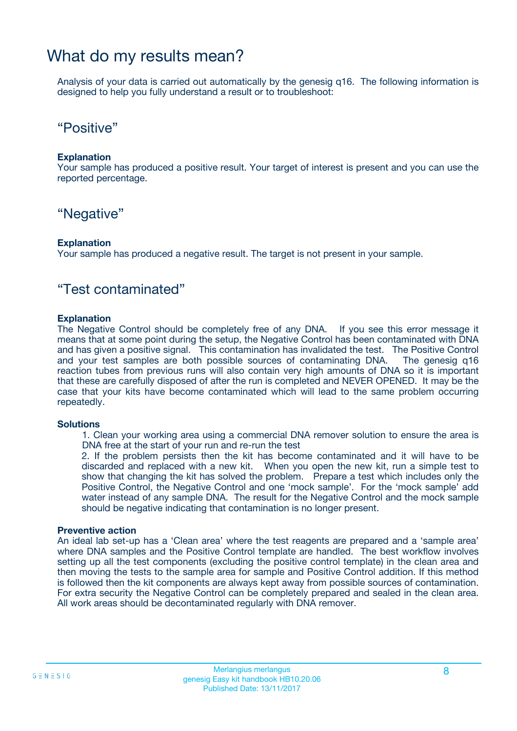### What do my results mean?

Analysis of your data is carried out automatically by the genesig q16. The following information is designed to help you fully understand a result or to troubleshoot:

### "Positive"

#### **Explanation**

Your sample has produced a positive result. Your target of interest is present and you can use the reported percentage.

### "Negative"

#### **Explanation**

Your sample has produced a negative result. The target is not present in your sample.

### "Test contaminated"

#### **Explanation**

The Negative Control should be completely free of any DNA. If you see this error message it means that at some point during the setup, the Negative Control has been contaminated with DNA and has given a positive signal. This contamination has invalidated the test. The Positive Control and your test samples are both possible sources of contaminating DNA. The genesig q16 reaction tubes from previous runs will also contain very high amounts of DNA so it is important that these are carefully disposed of after the run is completed and NEVER OPENED. It may be the case that your kits have become contaminated which will lead to the same problem occurring repeatedly.

#### **Solutions**

1. Clean your working area using a commercial DNA remover solution to ensure the area is DNA free at the start of your run and re-run the test

2. If the problem persists then the kit has become contaminated and it will have to be discarded and replaced with a new kit. When you open the new kit, run a simple test to show that changing the kit has solved the problem. Prepare a test which includes only the Positive Control, the Negative Control and one 'mock sample'. For the 'mock sample' add water instead of any sample DNA. The result for the Negative Control and the mock sample should be negative indicating that contamination is no longer present.

#### **Preventive action**

An ideal lab set-up has a 'Clean area' where the test reagents are prepared and a 'sample area' where DNA samples and the Positive Control template are handled. The best workflow involves setting up all the test components (excluding the positive control template) in the clean area and then moving the tests to the sample area for sample and Positive Control addition. If this method is followed then the kit components are always kept away from possible sources of contamination. For extra security the Negative Control can be completely prepared and sealed in the clean area. All work areas should be decontaminated regularly with DNA remover.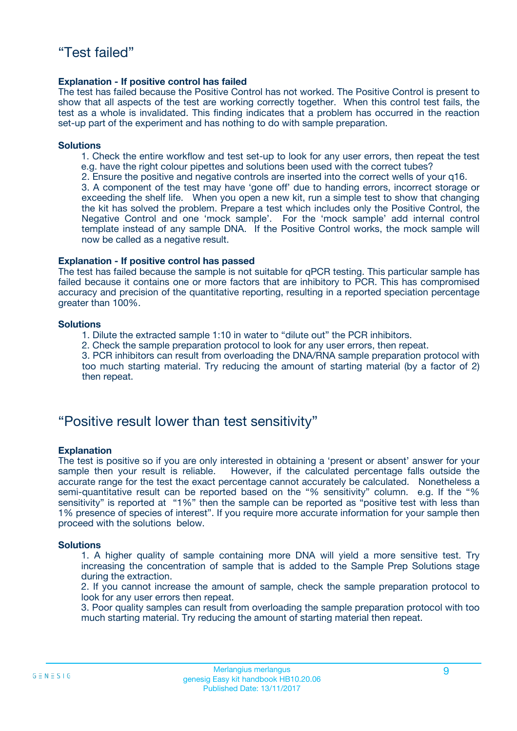#### **Explanation - If positive control has failed**

The test has failed because the Positive Control has not worked. The Positive Control is present to show that all aspects of the test are working correctly together. When this control test fails, the test as a whole is invalidated. This finding indicates that a problem has occurred in the reaction set-up part of the experiment and has nothing to do with sample preparation.

#### **Solutions**

- 1. Check the entire workflow and test set-up to look for any user errors, then repeat the test e.g. have the right colour pipettes and solutions been used with the correct tubes?
- 2. Ensure the positive and negative controls are inserted into the correct wells of your q16.

3. A component of the test may have 'gone off' due to handing errors, incorrect storage or exceeding the shelf life. When you open a new kit, run a simple test to show that changing the kit has solved the problem. Prepare a test which includes only the Positive Control, the Negative Control and one 'mock sample'. For the 'mock sample' add internal control template instead of any sample DNA. If the Positive Control works, the mock sample will now be called as a negative result.

#### **Explanation - If positive control has passed**

The test has failed because the sample is not suitable for qPCR testing. This particular sample has failed because it contains one or more factors that are inhibitory to PCR. This has compromised accuracy and precision of the quantitative reporting, resulting in a reported speciation percentage greater than 100%.

#### **Solutions**

- 1. Dilute the extracted sample 1:10 in water to "dilute out" the PCR inhibitors.
- 2. Check the sample preparation protocol to look for any user errors, then repeat.

3. PCR inhibitors can result from overloading the DNA/RNA sample preparation protocol with too much starting material. Try reducing the amount of starting material (by a factor of 2) then repeat.

### "Positive result lower than test sensitivity"

#### **Explanation**

The test is positive so if you are only interested in obtaining a 'present or absent' answer for your sample then your result is reliable. However, if the calculated percentage falls outside the accurate range for the test the exact percentage cannot accurately be calculated. Nonetheless a semi-quantitative result can be reported based on the "% sensitivity" column. e.g. If the "% sensitivity" is reported at "1%" then the sample can be reported as "positive test with less than 1% presence of species of interest". If you require more accurate information for your sample then proceed with the solutions below.

#### **Solutions**

1. A higher quality of sample containing more DNA will yield a more sensitive test. Try increasing the concentration of sample that is added to the Sample Prep Solutions stage during the extraction.

2. If you cannot increase the amount of sample, check the sample preparation protocol to look for any user errors then repeat.

3. Poor quality samples can result from overloading the sample preparation protocol with too much starting material. Try reducing the amount of starting material then repeat.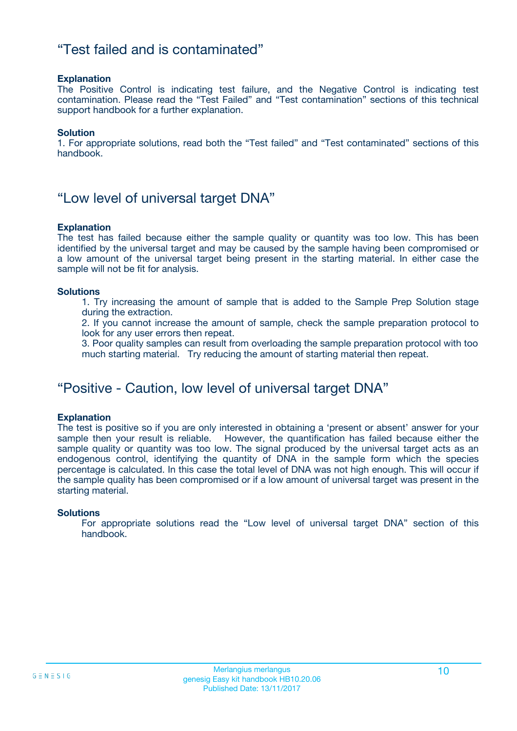### "Test failed and is contaminated"

#### **Explanation**

The Positive Control is indicating test failure, and the Negative Control is indicating test contamination. Please read the "Test Failed" and "Test contamination" sections of this technical support handbook for a further explanation.

#### **Solution**

1. For appropriate solutions, read both the "Test failed" and "Test contaminated" sections of this handbook.

### "Low level of universal target DNA"

#### **Explanation**

The test has failed because either the sample quality or quantity was too low. This has been identified by the universal target and may be caused by the sample having been compromised or a low amount of the universal target being present in the starting material. In either case the sample will not be fit for analysis.

#### **Solutions**

1. Try increasing the amount of sample that is added to the Sample Prep Solution stage during the extraction.

2. If you cannot increase the amount of sample, check the sample preparation protocol to look for any user errors then repeat.

3. Poor quality samples can result from overloading the sample preparation protocol with too much starting material. Try reducing the amount of starting material then repeat.

### "Positive - Caution, low level of universal target DNA"

#### **Explanation**

The test is positive so if you are only interested in obtaining a 'present or absent' answer for your sample then your result is reliable. However, the quantification has failed because either the sample quality or quantity was too low. The signal produced by the universal target acts as an endogenous control, identifying the quantity of DNA in the sample form which the species percentage is calculated. In this case the total level of DNA was not high enough. This will occur if the sample quality has been compromised or if a low amount of universal target was present in the starting material.

#### **Solutions**

For appropriate solutions read the "Low level of universal target DNA" section of this handbook.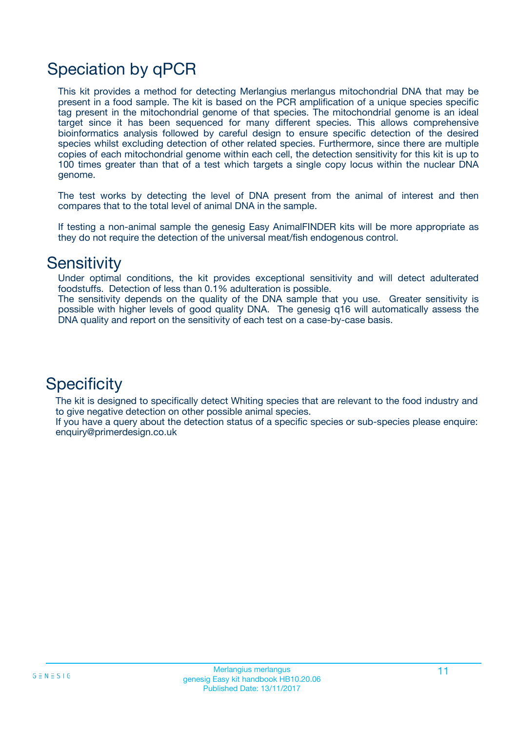# Speciation by qPCR

This kit provides a method for detecting Merlangius merlangus mitochondrial DNA that may be present in a food sample. The kit is based on the PCR amplification of a unique species specific tag present in the mitochondrial genome of that species. The mitochondrial genome is an ideal target since it has been sequenced for many different species. This allows comprehensive bioinformatics analysis followed by careful design to ensure specific detection of the desired species whilst excluding detection of other related species. Furthermore, since there are multiple copies of each mitochondrial genome within each cell, the detection sensitivity for this kit is up to 100 times greater than that of a test which targets a single copy locus within the nuclear DNA genome.

The test works by detecting the level of DNA present from the animal of interest and then compares that to the total level of animal DNA in the sample.

If testing a non-animal sample the genesig Easy AnimalFINDER kits will be more appropriate as they do not require the detection of the universal meat/fish endogenous control.

### **Sensitivity**

Under optimal conditions, the kit provides exceptional sensitivity and will detect adulterated foodstuffs. Detection of less than 0.1% adulteration is possible.

The sensitivity depends on the quality of the DNA sample that you use. Greater sensitivity is possible with higher levels of good quality DNA. The genesig q16 will automatically assess the DNA quality and report on the sensitivity of each test on a case-by-case basis.

### **Specificity**

The kit is designed to specifically detect Whiting species that are relevant to the food industry and to give negative detection on other possible animal species.

If you have a query about the detection status of a specific species or sub-species please enquire: enquiry@primerdesign.co.uk